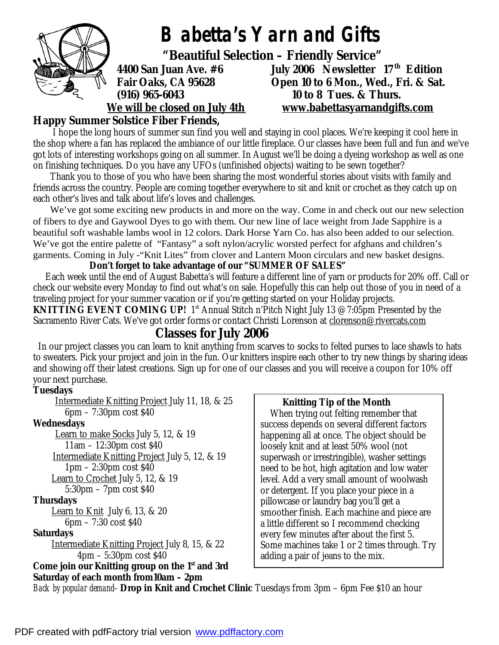

## **Happy Summer Solstice Fiber Friends,**

 I hope the long hours of summer sun find you well and staying in cool places. We're keeping it cool here in the shop where a fan has replaced the ambiance of our little fireplace. Our classes have been full and fun and we've got lots of interesting workshops going on all summer. In August we'll be doing a dyeing workshop as well as one on finishing techniques. Do you have any UFOs (unfinished objects) waiting to be sewn together?

 Thank you to those of you who have been sharing the most wonderful stories about visits with family and friends across the country. People are coming together everywhere to sit and knit or crochet as they catch up on each other's lives and talk about life's loves and challenges.

We've got some exciting new products in and more on the way. Come in and check out our new selection of fibers to dye and Gaywool Dyes to go with them. Our new line of lace weight from Jade Sapphire is a beautiful soft washable lambs wool in 12 colors. Dark Horse Yarn Co. has also been added to our selection. We've got the entire palette of "Fantasy" a soft nylon/acrylic worsted perfect for afghans and children's garments. Coming in July -"Knit Lites" from clover and Lantern Moon circulars and new basket designs.

 **Don't forget to take advantage of our "SUMMER OF SALES"** 

 Each week until the end of August Babetta's will feature a different line of yarn or products for 20% off. Call or check our website every Monday to find out what's on sale. Hopefully this can help out those of you in need of a traveling project for your summer vacation or if you're getting started on your Holiday projects. **KNITTING EVENT COMING UP!** 1<sup>st</sup> Annual Stitch n'Pitch Night July 13 @7:05pm Presented by the Sacramento River Cats. We've got order forms or contact Christi Lorenson at [clorenson@rivercats.com](mailto:clorenson@rivercats.com)

## **Classes for July 2006**

In our project classes you can learn to knit anything from scarves to socks to felted purses to lace shawls to hats to sweaters. Pick your project and join in the fun. Our knitters inspire each other to try new things by sharing ideas and showing off their latest creations. Sign up for one of our classes and you will receive a coupon for 10% off your next purchase.

#### **Tuesdays**

 Intermediate Knitting Project July 11, 18, & 25 6pm – 7:30pm cost \$40 **Wednesdays**  Learn to make Socks July 5, 12, & 19 11am – 12:30pm cost \$40 Intermediate Knitting Project July 5, 12, & 19 1pm – 2:30pm cost \$40 Learn to Crochet July 5, 12, & 19 5:30pm – 7pm cost \$40 **Thursdays**  Learn to Knit July 6, 13, & 20 6pm – 7:30 cost \$40 **Saturdays**  Intermediate Knitting Project July 8, 15, & 22 4pm – 5:30pm cost \$40 *Come join our Knitting group on the 1st and 3rd Saturday of each month from10am – 2pm* 

#### **Knitting Tip of the Month**

 When trying out felting remember that success depends on several different factors happening all at once. The object should be loosely knit and at least 50% wool (not superwash or irrestringible), washer settings need to be hot, high agitation and low water level. Add a very small amount of woolwash or detergent. If you place your piece in a pillowcase or laundry bag you'll get a smoother finish. Each machine and piece are a little different so I recommend checking every few minutes after about the first 5. Some machines take 1 or 2 times through. Try adding a pair of jeans to the mix.

*Back by popular demand*- **Drop in Knit and Crochet Clinic** Tuesdays from 3pm – 6pm Fee \$10 an hour